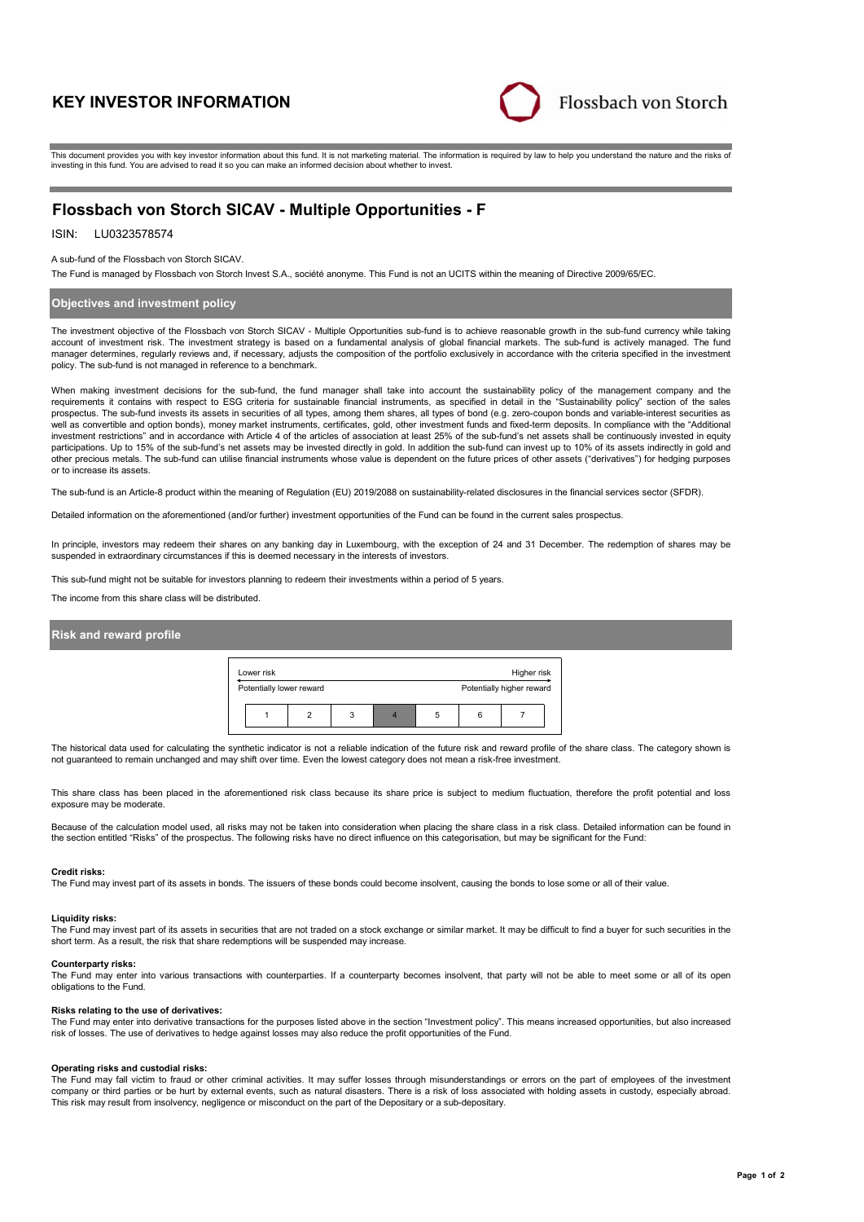# **KEY INVESTOR INFORMATION**



This document provides you with key investor information about this fund. It is not marketing material. The information is required by law to help you understand the nature and the risks of investing in this fund. You are advised to read it so you can make an informed decision about whether to invest.

# **Flossbach von Storch SICAV - Multiple Opportunities - F**

## ISIN: LU0323578574

### A sub-fund of the Flossbach von Storch SICAV.

The Fund is managed by Flossbach von Storch Invest S.A., société anonyme. This Fund is not an UCITS within the meaning of Directive 2009/65/EC.

### **Objectives and investment policy**

The investment objective of the Flossbach von Storch SICAV - Multiple Opportunities sub-fund is to achieve reasonable growth in the sub-fund currency while taking account of investment risk. The investment strategy is based on a fundamental analysis of global financial markets. The sub-fund is actively managed. The fund manager determines, regularly reviews and, if necessary, adjusts the composition of the portfolio exclusively in accordance with the criteria specified in the investment policy. The sub-fund is not managed in reference to a benchmark.

When making investment decisions for the sub-fund, the fund manager shall take into account the sustainability policy of the management company and the requirements it contains with respect to ESG criteria for sustainable financial instruments, as specified in detail in the "Sustainability policy" section of the sales prospectus. The sub-fund invests its assets in securities of all types, among them shares, all types of bond (e.g. zero-coupon bonds and variable-interest securities as<br>well as convertible and option bonds), money market i investment restrictions" and in accordance with Article 4 of the articles of association at least 25% of the sub-fund's net assets shall be continuously invested in equity participations. Up to 15% of the sub-fund's net assets may be invested directly in gold. In addition the sub-fund can invest up to 10% of its assets indirectly in gold and other precious metals. The sub-fund can utilise financial instruments whose value is dependent on the future prices of other assets ("derivatives") for hedging purposes or to increase its assets.

The sub-fund is an Article-8 product within the meaning of Regulation (EU) 2019/2088 on sustainability-related disclosures in the financial services sector (SFDR).

Detailed information on the aforementioned (and/or further) investment opportunities of the Fund can be found in the current sales prospectus.

In principle, investors may redeem their shares on any banking day in Luxembourg, with the exception of 24 and 31 December. The redemption of shares may be suspended in extraordinary circumstances if this is deemed necessary in the interests of investors.

This sub-fund might not be suitable for investors planning to redeem their investments within a period of 5 years.

The income from this share class will be distributed.

### **Risk and reward profile**

| Lower risk<br>Higher risk |                          |  |   |                           |   |  |  |  |
|---------------------------|--------------------------|--|---|---------------------------|---|--|--|--|
|                           | Potentially lower reward |  |   | Potentially higher reward |   |  |  |  |
|                           |                          |  | 3 |                           | 5 |  |  |  |

The historical data used for calculating the synthetic indicator is not a reliable indication of the future risk and reward profile of the share class. The category shown is not guaranteed to remain unchanged and may shift over time. Even the lowest category does not mean a risk-free investment.

This share class has been placed in the aforementioned risk class because its share price is subject to medium fluctuation, therefore the profit potential and loss exposure may be moderate.

Because of the calculation model used, all risks may not be taken into consideration when placing the share class in a risk class. Detailed information can be found in the section entitled "Risks" of the prospectus. The following risks have no direct influence on this categorisation, but may be significant for the Fund:

#### **Credit risks:**

The Fund may invest part of its assets in bonds. The issuers of these bonds could become insolvent, causing the bonds to lose some or all of their value.

#### **Liquidity risks:**

The Fund may invest part of its assets in securities that are not traded on a stock exchange or similar market. It may be difficult to find a buyer for such securities in the short term. As a result, the risk that share redemptions will be suspended may increase.

### **Counterparty risks:**

The Fund may enter into various transactions with counterparties. If a counterparty becomes insolvent, that party will not be able to meet some or all of its open obligations to the Fund.

#### **Risks relating to the use of derivatives:**

The Fund may enter into derivative transactions for the purposes listed above in the section "Investment policy". This means increased opportunities, but also increased risk of losses. The use of derivatives to hedge against losses may also reduce the profit opportunities of the Fund.

### **Operating risks and custodial risks:**

The Fund may fall victim to fraud or other criminal activities. It may suffer losses through misunderstandings or errors on the part of employees of the investment company or third parties or be hurt by external events, such as natural disasters. There is a risk of loss associated with holding assets in custody, especially abroad. This risk may result from insolvency, negligence or misconduct on the part of the Depositary or a sub-depositary.